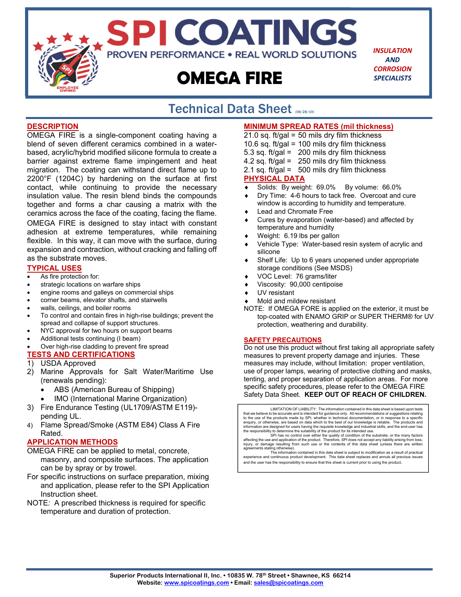

SPI COATINGS **PROVEN PERFORMANCE . REAL WORLD SOLUTIONS** 

# **OMEGA FIRE**

*INSULATION AND CORROSION SPECIALISTS*

#### Technical Data Sheet (08/28/19) j

#### **DESCRIPTION**

OMEGA FIRE is a single-component coating having a blend of seven different ceramics combined in a waterbased, acrylic/hybrid modified silicone formula to create a barrier against extreme flame impingement and heat migration. The coating can withstand direct flame up to 2200°F (1204C) by hardening on the surface at first contact, while continuing to provide the necessary insulation value. The resin blend binds the compounds together and forms a char causing a matrix with the ceramics across the face of the coating, facing the flame.

OMEGA FIRE is designed to stay intact with constant adhesion at extreme temperatures, while remaining flexible. In this way, it can move with the surface, during expansion and contraction, without cracking and falling off as the substrate moves.

#### **TYPICAL USES**

- As fire protection for:
- strategic locations on warfare ships
- engine rooms and galleys on commercial ships
- corner beams, elevator shafts, and stairwells
- walls, ceilings, and boiler rooms
- To control and contain fires in high-rise buildings; prevent the spread and collapse of support structures.
- NYC approval for two hours on support beams
- Additional tests continuing (I beam)
- Over high-rise cladding to prevent fire spread

#### **TESTS AND CERTIFICATIONS**

- 1) USDA Approved
- 2) Marine Approvals for Salt Water/Maritime Use (renewals pending):
	- ABS (American Bureau of Shipping)
	- IMO (International Marine Organization)
- 3) Fire Endurance Testing (UL1709/ASTM E119) pending UL.
- 4) Flame Spread/Smoke (ASTM E84) Class A Fire Rated.

#### **APPLICATION METHODS**

- OMEGA FIRE can be applied to metal, concrete, masonry, and composite surfaces. The application can be by spray or by trowel.
- For specific instructions on surface preparation, mixing and application, please refer to the SPI Application Instruction sheet.
- NOTE*:* A prescribed thickness is required for specific temperature and duration of protection.

#### **MINIMUM SPREAD RATES (mil thickness)**

- $21.0$  sq. ft/gal = 50 mils dry film thickness
- 10.6 sq. ft/gal = 100 mils dry film thickness
- 5.3 sq. ft/gal =  $200$  mils dry film thickness
- 4.2 sq. ft/gal =  $250$  mils dry film thickness
- 2.1 sq. ft/gal =  $500$  mils dry film thickness

#### **PHYSICAL DATA**

- Solids: By weight: 69.0% By volume: 66.0%
- Dry Time: 4-6 hours to tack free. Overcoat and cure window is according to humidity and temperature.
- Lead and Chromate Free
- Cures by evaporation (water-based) and affected by temperature and humidity
- Weight: 6.19 lbs per gallon
- Vehicle Type: Water-based resin system of acrylic and silicone
- Shelf Life: Up to 6 years unopened under appropriate storage conditions (See MSDS)
- VOC Level: 76 grams/liter
- Viscosity: 90,000 centipoise
- UV resistant
- Mold and mildew resistant
- NOTE: If OMEGA FORE is applied on the exterior, it must be top-coated with ENAMO GRIP or SUPER THERM® for UV protection, weathering and durability.

#### **SAFETY PRECAUTIONS**

Do not use this product without first taking all appropriate safety measures to prevent property damage and injuries. These measures may include, without limitation: proper ventilation, use of proper lamps, wearing of protective clothing and masks, tenting, and proper separation of application areas. For more specific safety procedures, please refer to the OMEGA FIRE Safety Data Sheet. **KEEP OUT OF REACH OF CHILDREN.** 

LIMITATION OF LIABILITY: The information contained in this data sheet is based upon tests that we believe to be accurate and is intended for guidance only. All recommendations or suggestions relating to the use of the products made by SPI, whether in technical documentation, or in response to a specific enquiry, or otherwise, are based on data which to the best of our knowledge is reliable. The products and information are designed for users having the requisite knowledge and industrial skills, and the end-user has

the responsibility to determine the suitability of the product for its intended use.<br>SPI has no control over either the quality of condition of the substrate, or the many factors<br>affecting the use and application of the pr agreements stating otherwise). The information contained in this data sheet is subject to modification as a result of practical

experience and continuous product development. This data sheet replaces and annuls all previous issues and the user has the responsibility to ensure that this sheet is current prior to using the product.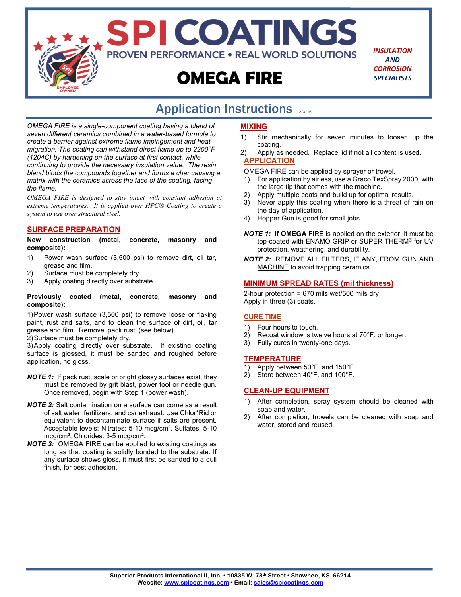

*INSULATION AND CORROSION SPECIALISTS*

## Application Instructions (12/3/16)

*OMEGA FIRE is a single-component coating having a blend of seven different ceramics combined in a water-based formula to create a barrier against extreme flame impingement and heat migration. The coating can withstand direct flame up to 2200°F (1204C) by hardening on the surface at first contact, while continuing to provide the necessary insulation value. The resin blend binds the compounds together and forms a char causing a matrix with the ceramics across the face of the coating, facing the flame.* 

*OMEGA FIRE is designed to stay intact with constant adhesion at extreme temperatures. It is applied over HPC® Coating to create a system to use over structural steel.* 

#### **SURFACE PREPARATION**

**New construction (metal, concrete, masonry and composite):** 

- 1) Power wash surface (3,500 psi) to remove dirt, oil tar, grease and film.
- 2) Surface must be completely dry.<br>3) Apply coating directly over subst
- Apply coating directly over substrate.

#### **Previously coated (metal, concrete, masonry and composite):**

1) Power wash surface (3,500 psi) to remove loose or flaking paint, rust and salts, and to clean the surface of dirt, oil, tar grease and film. Remove 'pack rust' (see below).

2) Surface must be completely dry.

3) Apply coating directly over substrate. If existing coating surface is glossed, it must be sanded and roughed before application, no gloss.

- *NOTE 1:* If pack rust, scale or bright glossy surfaces exist, they must be removed by grit blast, power tool or needle gun. Once removed, begin with Step 1 (power wash).
- *NOTE 2:* Salt contamination on a surface can come as a result of salt water, fertilizers, and car exhaust. Use Chlor\*Rid or equivalent to decontaminate surface if salts are present. Acceptable levels: Nitrates: 5-10 mcg/cm², Sulfates: 5-10 mcg/cm², Chlorides: 3-5 mcg/cm².
- *NOTE 3:* OMEGA FIRE can be applied to existing coatings as long as that coating is solidly bonded to the substrate. If any surface shows gloss, it must first be sanded to a dull finish, for best adhesion.

#### **MIXING**

- 1) Stir mechanically for seven minutes to loosen up the coating.
- 2) Apply as needed. Replace lid if not all content is used. **APPLICATION**

OMEGA FIRE can be applied by sprayer or trowel.

- 1) For application by airless, use a Graco TexSpray 2000, with the large tip that comes with the machine.
- Apply multiple coats and build up for optimal results.
- 3) Never apply this coating when there is a threat of rain on the day of application.
- 4) Hopper Gun is good for small jobs.
- *NOTE 1:* **If OMEGA FI**RE is applied on the exterior, it must be top-coated with ENAMO GRIP or SUPER THERM® for UV protection, weathering, and durability.
- *NOTE 2:* REMOVE ALL FILTERS, IF ANY, FROM GUN AND MACHINE to avoid trapping ceramics.

#### **MINIMUM SPREAD RATES (mil thickness)**

2-hour protection = 670 mils wet/500 mils dry Apply in three (3) coats.

#### **CURE TIME**

- 1) Four hours to touch.
- 2) Recoat window is twelve hours at 70°F. or longer.
- 3) Fully cures in twenty-one days.

#### **TEMPERATURE**

- 1) Apply between 50°F. and 150°F.
- 2) Store between 40°F. and 100°F.

#### **CLEAN-UP EQUIPMENT**

- 1) After completion, spray system should be cleaned with soap and water.
- 2) After completion, trowels can be cleaned with soap and water, stored and reused.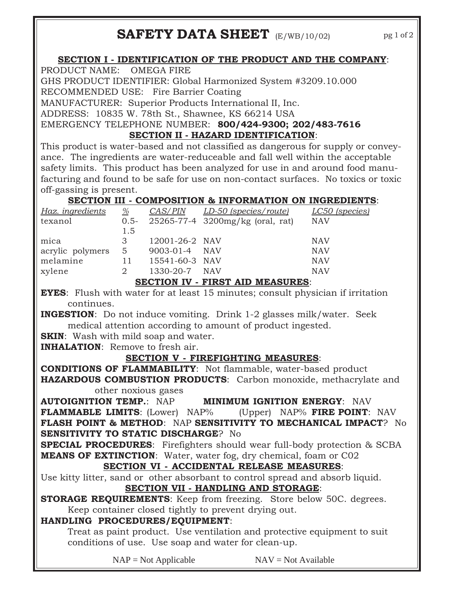## **SAFETY DATA SHEET** (E/WB/10/02)

**SECTION I - IDENTIFICATION OF THE PRODUCT AND THE COMPANY**:

PRODUCT NAME: OMEGA FIRE

GHS PRODUCT IDENTIFIER: Global Harmonized System #3209.10.000

RECOMMENDED USE: Fire Barrier Coating

MANUFACTURER: Superior Products International II, Inc.

ADDRESS: 10835 W. 78th St., Shawnee, KS 66214 USA

EMERGENCY TELEPHONE NUMBER: **800/424-9300; 202/483-7616 SECTION II - HAZARD IDENTIFICATION**:

This product is water-based and not classified as dangerous for supply or conveyance. The ingredients are water-reduceable and fall well within the acceptable safety limits. This product has been analyzed for use in and around food manufacturing and found to be safe for use on non-contact surfaces. No toxics or toxic off-gassing is present.

## **SECTION III - COMPOSITION & INFORMATION ON INGREDIENTS**:

| <u>Haz. ingredients</u>                 | $\%$  |                | CAS/PIN LD-50 (species/route)         | LC50 (species) |
|-----------------------------------------|-------|----------------|---------------------------------------|----------------|
| texanol                                 |       |                | 0.5- 25265-77-4 3200mg/kg (oral, rat) | <b>NAV</b>     |
|                                         | 1.5   |                |                                       |                |
| mica                                    | 3     | 12001-26-2 NAV |                                       | <b>NAV</b>     |
| acrylic polymers                        | $5 -$ | 9003-01-4 NAV  |                                       | <b>NAV</b>     |
| melamine                                | 11    | 15541-60-3 NAV |                                       | <b>NAV</b>     |
| xylene                                  | 2     | 1330-20-7 NAV  |                                       | <b>NAV</b>     |
| <b>SECTION IV - FIRST AID MEASURES:</b> |       |                |                                       |                |

**EYES**: Flush with water for at least 15 minutes; consult physician if irritation continues.

**INGESTION:** Do not induce vomiting. Drink 1-2 glasses milk/water. Seek medical attention according to amount of product ingested.

**SKIN:** Wash with mild soap and water.

**INHALATION**: Remove to fresh air.

## **SECTION V - FIREFIGHTING MEASURES**:

**CONDITIONS OF FLAMMABILITY**: Not flammable, water-based product **HAZARDOUS COMBUSTION PRODUCTS**: Carbon monoxide, methacrylate and other noxious gases

**AUTOIGNITION TEMP.**: NAP **MINIMUM IGNITION ENERGY**: NAV **FLAMMABLE LIMITS**: (Lower) NAP% (Upper) NAP% **FIRE POINT**: NAV **FLASH POINT & METHOD**: NAP **SENSITIVITY TO MECHANICAL IMPACT**? No **SENSITIVITY TO STATIC DISCHARGE**? No

**SPECIAL PROCEDURES**: Firefighters should wear full-body protection & SCBA **MEANS OF EXTINCTION**: Water, water fog, dry chemical, foam or C02

### **SECTION VI - ACCIDENTAL RELEASE MEASURES**:

Use kitty litter, sand or other absorbant to control spread and absorb liquid. **SECTION VII - HANDLING AND STORAGE**:

### **STORAGE REQUIREMENTS:** Keep from freezing. Store below 50C. degrees. Keep container closed tightly to prevent drying out.

## **HANDLING PROCEDURES/EQUIPMENT**:

Treat as paint product. Use ventilation and protective equipment to suit conditions of use. Use soap and water for clean-up.

 $NAP = Not Applicable$   $NAV = Not Available$